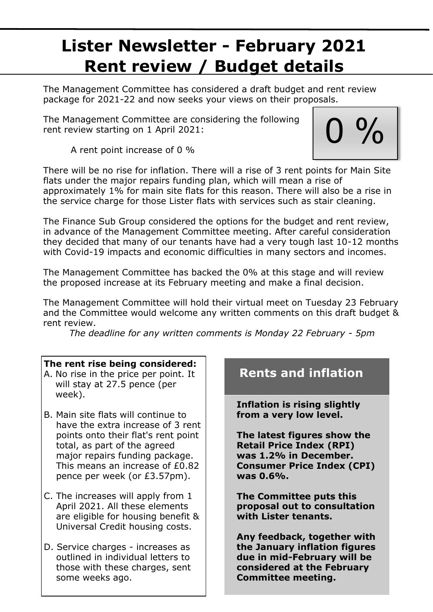# **Lister Newsletter - February 2021 Rent review / Budget details**

The Management Committee has considered a draft budget and rent review package for 2021-22 and now seeks your views on their proposals.

The Management Committee are considering the following rent review starting on 1 April 2021:

A rent point increase of 0 %

 $0\%$ 

There will be no rise for inflation. There will a rise of 3 rent points for Main Site flats under the major repairs funding plan, which will mean a rise of approximately 1% for main site flats for this reason. There will also be a rise in the service charge for those Lister flats with services such as stair cleaning.

The Finance Sub Group considered the options for the budget and rent review, in advance of the Management Committee meeting. After careful consideration they decided that many of our tenants have had a very tough last 10-12 months with Covid-19 impacts and economic difficulties in many sectors and incomes.

The Management Committee has backed the 0% at this stage and will review the proposed increase at its February meeting and make a final decision.

The Management Committee will hold their virtual meet on Tuesday 23 February and the Committee would welcome any written comments on this draft budget & rent review.

*The deadline for any written comments is Monday 22 February - 5pm*

#### **The rent rise being considered:**

- A. No rise in the price per point. It will stay at 27.5 pence (per week).
- B. Main site flats will continue to have the extra increase of 3 rent points onto their flat's rent point total, as part of the agreed major repairs funding package. This means an increase of £0.82 pence per week (or £3.57pm).
- C. The increases will apply from 1 April 2021. All these elements are eligible for housing benefit & Universal Credit housing costs.
- D. Service charges increases as outlined in individual letters to those with these charges, sent some weeks ago.

### **Rents and inflation**

**Inflation is rising slightly from a very low level.**

**The latest figures show the Retail Price Index (RPI) was 1.2% in December. Consumer Price Index (CPI) was 0.6%.**

**The Committee puts this proposal out to consultation with Lister tenants.** 

**Any feedback, together with the January inflation figures due in mid-February will be considered at the February Committee meeting.**